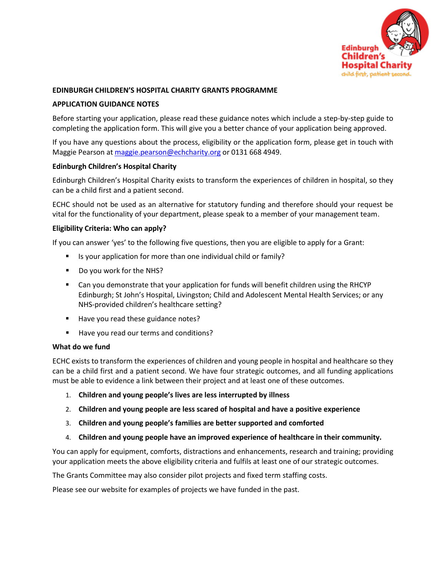

#### **EDINBURGH CHILDREN'S HOSPITAL CHARITY GRANTS PROGRAMME**

#### **APPLICATION GUIDANCE NOTES**

Before starting your application, please read these guidance notes which include a step-by-step guide to completing the application form. This will give you a better chance of your application being approved.

If you have any questions about the process, eligibility or the application form, please get in touch with Maggie Pearson a[t maggie.pearson@echcharity.org](mailto:maggie.pearson@echcharity.org) or 0131 668 4949.

#### **Edinburgh Children's Hospital Charity**

Edinburgh Children's Hospital Charity exists to transform the experiences of children in hospital, so they can be a child first and a patient second.

ECHC should not be used as an alternative for statutory funding and therefore should your request be vital for the functionality of your department, please speak to a member of your management team.

## **Eligibility Criteria: Who can apply?**

If you can answer 'yes' to the following five questions, then you are eligible to apply for a Grant:

- Is your application for more than one individual child or family?
- Do you work for the NHS?
- Can you demonstrate that your application for funds will benefit children using the RHCYP Edinburgh; St John's Hospital, Livingston; Child and Adolescent Mental Health Services; or any NHS-provided children's healthcare setting?
- Have you read these guidance notes?
- Have you read our terms and conditions?

#### **What do we fund**

ECHC exists to transform the experiences of children and young people in hospital and healthcare so they can be a child first and a patient second. We have four strategic outcomes, and all funding applications must be able to evidence a link between their project and at least one of these outcomes.

- 1. **Children and young people's lives are less interrupted by illness**
- 2. **Children and young people are less scared of hospital and have a positive experience**
- 3. **Children and young people's families are better supported and comforted**
- 4. **Children and young people have an improved experience of healthcare in their community.**

You can apply for equipment, comforts, distractions and enhancements, research and training; providing your application meets the above eligibility criteria and fulfils at least one of our strategic outcomes.

The Grants Committee may also consider pilot projects and fixed term staffing costs.

Please see our website for examples of projects we have funded in the past.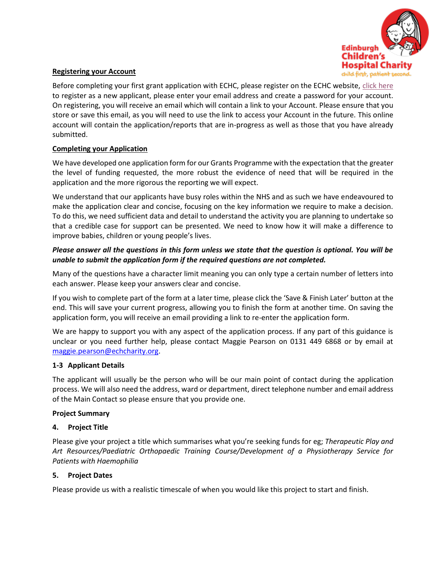

## **Registering your Account**

Before completing your first grant application with ECHC, please register on the ECHC website, [click here](https://www.grantrequest.co.uk/SID_143?SA=AM) to register as a new applicant, please enter your email address and create a password for your account. On registering, you will receive an email which will contain a link to your Account. Please ensure that you store or save this email, as you will need to use the link to access your Account in the future. This online account will contain the application/reports that are in-progress as well as those that you have already submitted.

## **Completing your Application**

We have developed one application form for our Grants Programme with the expectation that the greater the level of funding requested, the more robust the evidence of need that will be required in the application and the more rigorous the reporting we will expect.

We understand that our applicants have busy roles within the NHS and as such we have endeavoured to make the application clear and concise, focusing on the key information we require to make a decision. To do this, we need sufficient data and detail to understand the activity you are planning to undertake so that a credible case for support can be presented. We need to know how it will make a difference to improve babies, children or young people's lives.

# *Please answer all the questions in this form unless we state that the question is optional. You will be unable to submit the application form if the required questions are not completed.*

Many of the questions have a character limit meaning you can only type a certain number of letters into each answer. Please keep your answers clear and concise.

If you wish to complete part of the form at a later time, please click the 'Save & Finish Later' button at the end. This will save your current progress, allowing you to finish the form at another time. On saving the application form, you will receive an email providing a link to re-enter the application form.

We are happy to support you with any aspect of the application process. If any part of this guidance is unclear or you need further help, please contact Maggie Pearson on 0131 449 6868 or by email at [maggie.pearson@echcharity.org.](mailto:maggie.pearson@echcharity.org)

## **1-3 Applicant Details**

The applicant will usually be the person who will be our main point of contact during the application process. We will also need the address, ward or department, direct telephone number and email address of the Main Contact so please ensure that you provide one.

## **Project Summary**

## **4. Project Title**

Please give your project a title which summarises what you're seeking funds for eg; *Therapeutic Play and Art Resources/Paediatric Orthopaedic Training Course/Development of a Physiotherapy Service for Patients with Haemophilia*

## **5. Project Dates**

Please provide us with a realistic timescale of when you would like this project to start and finish.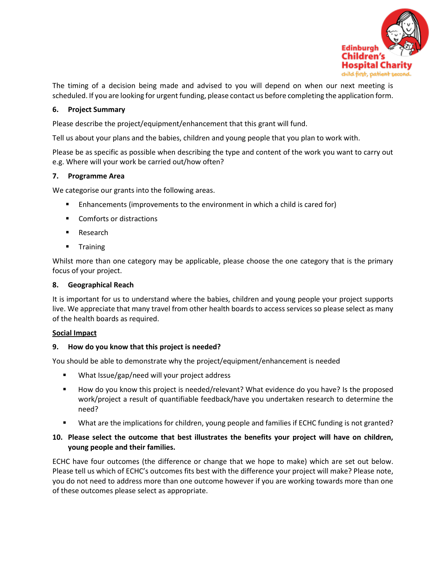

The timing of a decision being made and advised to you will depend on when our next meeting is scheduled. If you are looking for urgent funding, please contact us before completing the application form.

## **6. Project Summary**

Please describe the project/equipment/enhancement that this grant will fund.

Tell us about your plans and the babies, children and young people that you plan to work with.

Please be as specific as possible when describing the type and content of the work you want to carry out e.g. Where will your work be carried out/how often?

## **7. Programme Area**

We categorise our grants into the following areas.

- Enhancements (improvements to the environment in which a child is cared for)
- Comforts or distractions
- Research
- Training

Whilst more than one category may be applicable, please choose the one category that is the primary focus of your project.

## **8. Geographical Reach**

It is important for us to understand where the babies, children and young people your project supports live. We appreciate that many travel from other health boards to access services so please select as many of the health boards as required.

## **Social Impact**

## **9. How do you know that this project is needed?**

You should be able to demonstrate why the project/equipment/enhancement is needed

- What Issue/gap/need will your project address
- How do you know this project is needed/relevant? What evidence do you have? Is the proposed work/project a result of quantifiable feedback/have you undertaken research to determine the need?
- What are the implications for children, young people and families if ECHC funding is not granted?

# **10. Please select the outcome that best illustrates the benefits your project will have on children, young people and their families.**

ECHC have four outcomes (the difference or change that we hope to make) which are set out below. Please tell us which of ECHC's outcomes fits best with the difference your project will make? Please note, you do not need to address more than one outcome however if you are working towards more than one of these outcomes please select as appropriate.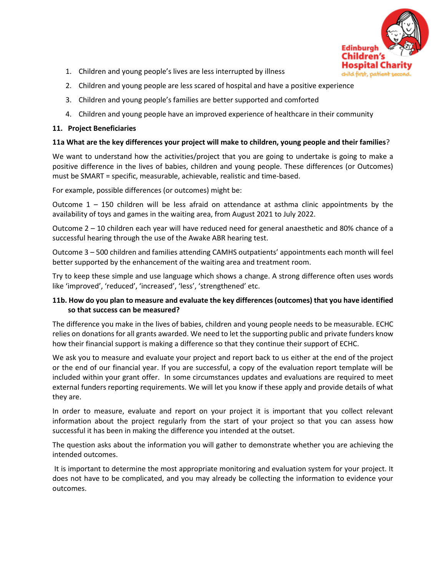

- 1. Children and young people's lives are less interrupted by illness
- 2. Children and young people are less scared of hospital and have a positive experience
- 3. Children and young people's families are better supported and comforted
- 4. Children and young people have an improved experience of healthcare in their community

## **11. Project Beneficiaries**

### **11a What are the key differences your project will make to children, young people and their families**?

We want to understand how the activities/project that you are going to undertake is going to make a positive difference in the lives of babies, children and young people. These differences (or Outcomes) must be SMART = specific, measurable, achievable, realistic and time-based.

For example, possible differences (or outcomes) might be:

Outcome  $1 - 150$  children will be less afraid on attendance at asthma clinic appointments by the availability of toys and games in the waiting area, from August 2021 to July 2022.

Outcome 2 – 10 children each year will have reduced need for general anaesthetic and 80% chance of a successful hearing through the use of the Awake ABR hearing test.

Outcome 3 – 500 children and families attending CAMHS outpatients' appointments each month will feel better supported by the enhancement of the waiting area and treatment room.

Try to keep these simple and use language which shows a change. A strong difference often uses words like 'improved', 'reduced', 'increased', 'less', 'strengthened' etc.

## **11b. How do you plan to measure and evaluate the key differences (outcomes) that you have identified so that success can be measured?**

The difference you make in the lives of babies, children and young people needs to be measurable. ECHC relies on donations for all grants awarded. We need to let the supporting public and private funders know how their financial support is making a difference so that they continue their support of ECHC.

We ask you to measure and evaluate your project and report back to us either at the end of the project or the end of our financial year. If you are successful, a copy of the evaluation report template will be included within your grant offer. In some circumstances updates and evaluations are required to meet external funders reporting requirements. We will let you know if these apply and provide details of what they are.

In order to measure, evaluate and report on your project it is important that you collect relevant information about the project regularly from the start of your project so that you can assess how successful it has been in making the difference you intended at the outset.

The question asks about the information you will gather to demonstrate whether you are achieving the intended outcomes.

It is important to determine the most appropriate monitoring and evaluation system for your project. It does not have to be complicated, and you may already be collecting the information to evidence your outcomes.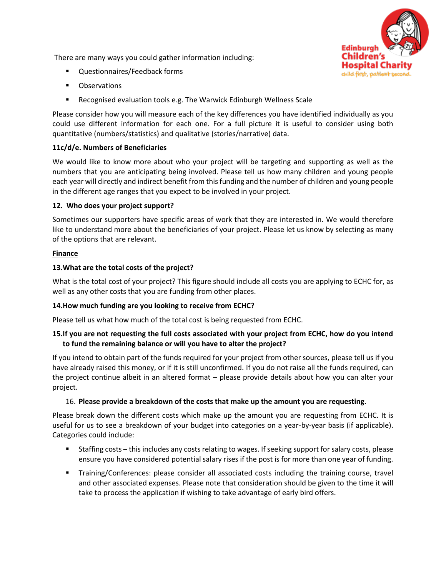There are many ways you could gather information including:

- Questionnaires/Feedback forms
- **Observations**
- Recognised evaluation tools e.g. The Warwick Edinburgh Wellness Scale

Please consider how you will measure each of the key differences you have identified individually as you could use different information for each one. For a full picture it is useful to consider using both quantitative (numbers/statistics) and qualitative (stories/narrative) data.

## **11c/d/e. Numbers of Beneficiaries**

We would like to know more about who your project will be targeting and supporting as well as the numbers that you are anticipating being involved. Please tell us how many children and young people each year will directly and indirect benefit from this funding and the number of children and young people in the different age ranges that you expect to be involved in your project.

## **12. Who does your project support?**

Sometimes our supporters have specific areas of work that they are interested in. We would therefore like to understand more about the beneficiaries of your project. Please let us know by selecting as many of the options that are relevant.

## **Finance**

## **13.What are the total costs of the project?**

What is the total cost of your project? This figure should include all costs you are applying to ECHC for, as well as any other costs that you are funding from other places.

# **14.How much funding are you looking to receive from ECHC?**

Please tell us what how much of the total cost is being requested from ECHC.

## **15.If you are not requesting the full costs associated with your project from ECHC, how do you intend to fund the remaining balance or will you have to alter the project?**

If you intend to obtain part of the funds required for your project from other sources, please tell us if you have already raised this money, or if it is still unconfirmed. If you do not raise all the funds required, can the project continue albeit in an altered format – please provide details about how you can alter your project.

# 16. **Please provide a breakdown of the costs that make up the amount you are requesting.**

Please break down the different costs which make up the amount you are requesting from ECHC. It is useful for us to see a breakdown of your budget into categories on a year-by-year basis (if applicable). Categories could include:

- Staffing costs this includes any costs relating to wages. If seeking support for salary costs, please ensure you have considered potential salary rises if the post is for more than one year of funding.
- **•** Training/Conferences: please consider all associated costs including the training course, travel and other associated expenses. Please note that consideration should be given to the time it will take to process the application if wishing to take advantage of early bird offers.

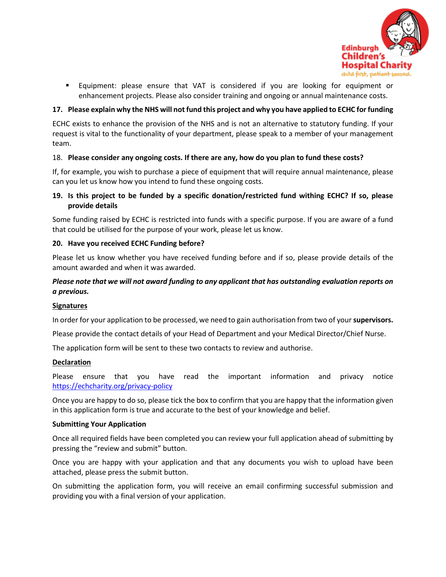

▪ Equipment: please ensure that VAT is considered if you are looking for equipment or enhancement projects. Please also consider training and ongoing or annual maintenance costs.

## **17. Please explain why the NHS will not fund this project and why you have applied to ECHC for funding**

ECHC exists to enhance the provision of the NHS and is not an alternative to statutory funding. If your request is vital to the functionality of your department, please speak to a member of your management team.

## 18. **Please consider any ongoing costs. If there are any, how do you plan to fund these costs?**

If, for example, you wish to purchase a piece of equipment that will require annual maintenance, please can you let us know how you intend to fund these ongoing costs.

## **19. Is this project to be funded by a specific donation/restricted fund withing ECHC? If so, please provide details**

Some funding raised by ECHC is restricted into funds with a specific purpose. If you are aware of a fund that could be utilised for the purpose of your work, please let us know.

#### **20. Have you received ECHC Funding before?**

Please let us know whether you have received funding before and if so, please provide details of the amount awarded and when it was awarded.

## *Please note that we will not award funding to any applicant that has outstanding evaluation reports on a previous.*

#### **Signatures**

In order for your application to be processed, we need to gain authorisation from two of your **supervisors.**

Please provide the contact details of your Head of Department and your Medical Director/Chief Nurse.

The application form will be sent to these two contacts to review and authorise.

#### **Declaration**

Please ensure that you have read the important information and privacy notice <https://echcharity.org/privacy-policy>

Once you are happy to do so, please tick the box to confirm that you are happy that the information given in this application form is true and accurate to the best of your knowledge and belief.

#### **Submitting Your Application**

Once all required fields have been completed you can review your full application ahead of submitting by pressing the "review and submit" button.

Once you are happy with your application and that any documents you wish to upload have been attached, please press the submit button.

On submitting the application form, you will receive an email confirming successful submission and providing you with a final version of your application.